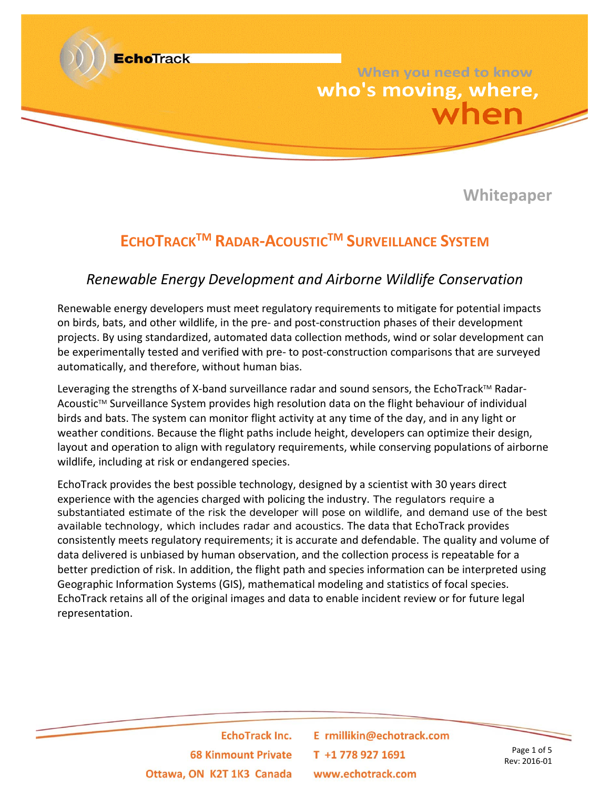

**Whitepaper**

# **ECHOTRACKTM RADAR‐ACOUSTICTM SURVEILLANCE SYSTEM**

### *Renewable Energy Development and Airborne Wildlife Conservation*

Renewable energy developers must meet regulatory requirements to mitigate for potential impacts on birds, bats, and other wildlife, in the pre‐ and post‐construction phases of their development projects. By using standardized, automated data collection methods, wind or solar development can be experimentally tested and verified with pre- to post-construction comparisons that are surveyed automatically, and therefore, without human bias.

Leveraging the strengths of X-band surveillance radar and sound sensors, the EchoTrack™ Radar-Acoustic™ Surveillance System provides high resolution data on the flight behaviour of individual birds and bats. The system can monitor flight activity at any time of the day, and in any light or weather conditions. Because the flight paths include height, developers can optimize their design, layout and operation to align with regulatory requirements, while conserving populations of airborne wildlife, including at risk or endangered species.

EchoTrack provides the best possible technology, designed by a scientist with 30 years direct experience with the agencies charged with policing the industry. The regulators require a substantiated estimate of the risk the developer will pose on wildlife, and demand use of the best available technology, which includes radar and acoustics. The data that EchoTrack provides consistently meets regulatory requirements; it is accurate and defendable. The quality and volume of data delivered is unbiased by human observation, and the collection process is repeatable for a better prediction of risk. In addition, the flight path and species information can be interpreted using Geographic Information Systems (GIS), mathematical modeling and statistics of focal species. EchoTrack retains all of the original images and data to enable incident review or for future legal representation.

> **EchoTrack Inc. 68 Kinmount Private** Ottawa, ON K2T 1K3 Canada

E rmillikin@echotrack.com T +1 778 927 1691 www.echotrack.com

Page 1 of 5 Rev: 2016‐01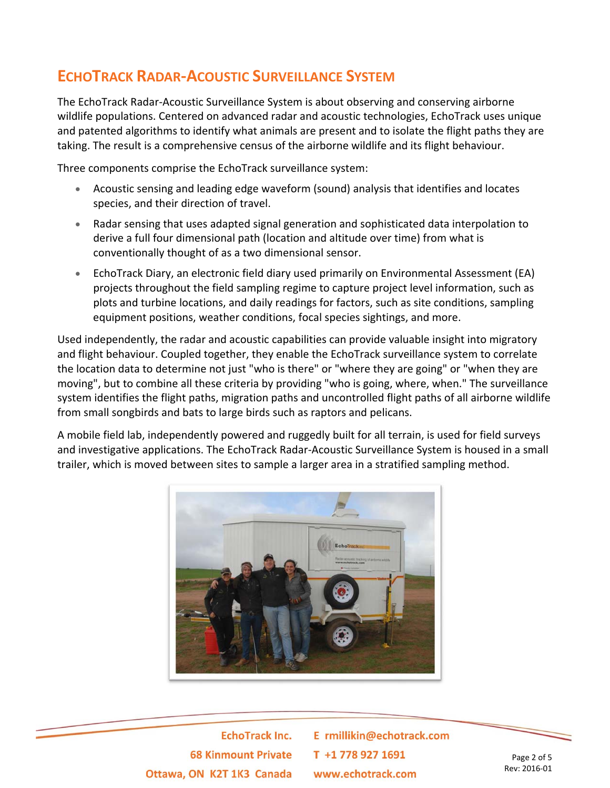# **ECHOTRACK RADAR‐ACOUSTIC SURVEILLANCE SYSTEM**

The EchoTrack Radar‐Acoustic Surveillance System is about observing and conserving airborne wildlife populations. Centered on advanced radar and acoustic technologies, EchoTrack uses unique and patented algorithms to identify what animals are present and to isolate the flight paths they are taking. The result is a comprehensive census of the airborne wildlife and its flight behaviour.

Three components comprise the EchoTrack surveillance system:

- Acoustic sensing and leading edge waveform (sound) analysis that identifies and locates species, and their direction of travel.
- Radar sensing that uses adapted signal generation and sophisticated data interpolation to derive a full four dimensional path (location and altitude over time) from what is conventionally thought of as a two dimensional sensor.
- EchoTrack Diary, an electronic field diary used primarily on Environmental Assessment (EA) projects throughout the field sampling regime to capture project level information, such as plots and turbine locations, and daily readings for factors, such as site conditions, sampling equipment positions, weather conditions, focal species sightings, and more.

Used independently, the radar and acoustic capabilities can provide valuable insight into migratory and flight behaviour. Coupled together, they enable the EchoTrack surveillance system to correlate the location data to determine not just "who is there" or "where they are going" or "when they are moving", but to combine all these criteria by providing "who is going, where, when." The surveillance system identifies the flight paths, migration paths and uncontrolled flight paths of all airborne wildlife from small songbirds and bats to large birds such as raptors and pelicans.

A mobile field lab, independently powered and ruggedly built for all terrain, is used for field surveys and investigative applications. The EchoTrack Radar‐Acoustic Surveillance System is housed in a small trailer, which is moved between sites to sample a larger area in a stratified sampling method.



**EchoTrack Inc. 68 Kinmount Private** Ottawa, ON K2T 1K3 Canada

E rmillikin@echotrack.com T +1 778 927 1691 www.echotrack.com

Page 2 of 5 Rev: 2016‐01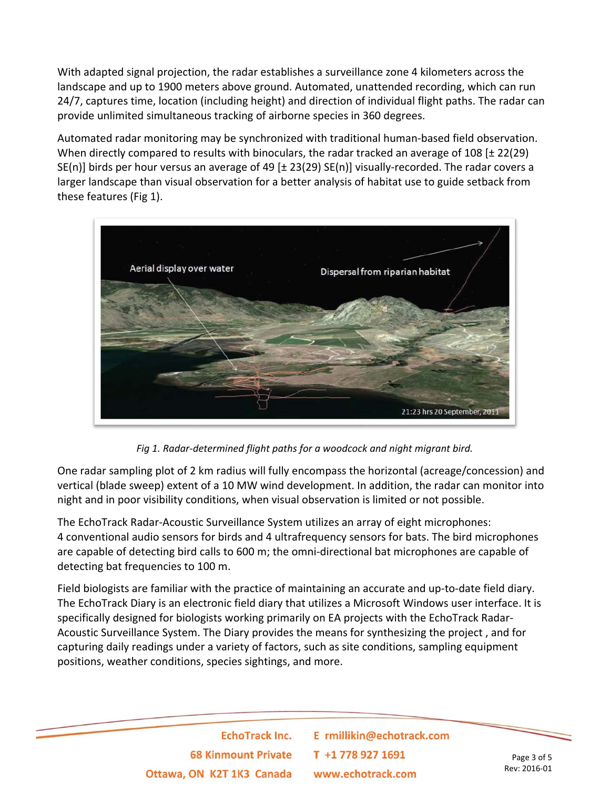With adapted signal projection, the radar establishes a surveillance zone 4 kilometers across the landscape and up to 1900 meters above ground. Automated, unattended recording, which can run 24/7, captures time, location (including height) and direction of individual flight paths. The radar can provide unlimited simultaneous tracking of airborne species in 360 degrees.

Automated radar monitoring may be synchronized with traditional human‐based field observation. When directly compared to results with binoculars, the radar tracked an average of 108 [ $\pm$  22(29) SE(n)] birds per hour versus an average of 49 [ $\pm$  23(29) SE(n)] visually-recorded. The radar covers a larger landscape than visual observation for a better analysis of habitat use to guide setback from these features (Fig 1).



*Fig 1. Radar‐determined flight paths for a woodcock and night migrant bird.*

One radar sampling plot of 2 km radius will fully encompass the horizontal (acreage/concession) and vertical (blade sweep) extent of a 10 MW wind development. In addition, the radar can monitor into night and in poor visibility conditions, when visual observation is limited or not possible.

The EchoTrack Radar‐Acoustic Surveillance System utilizes an array of eight microphones: 4 conventional audio sensors for birds and 4 ultrafrequency sensors for bats. The bird microphones are capable of detecting bird calls to 600 m; the omni-directional bat microphones are capable of detecting bat frequencies to 100 m.

Field biologists are familiar with the practice of maintaining an accurate and up‐to‐date field diary. The EchoTrack Diary is an electronic field diary that utilizes a Microsoft Windows user interface. It is specifically designed for biologists working primarily on EA projects with the EchoTrack Radar‐ Acoustic Surveillance System. The Diary provides the means for synthesizing the project , and for capturing daily readings under a variety of factors, such as site conditions, sampling equipment positions, weather conditions, species sightings, and more.

> **EchoTrack Inc. 68 Kinmount Private** Ottawa, ON K2T 1K3 Canada

E rmillikin@echotrack.com T +1 778 927 1691 www.echotrack.com

Page 3 of 5 Rev: 2016‐01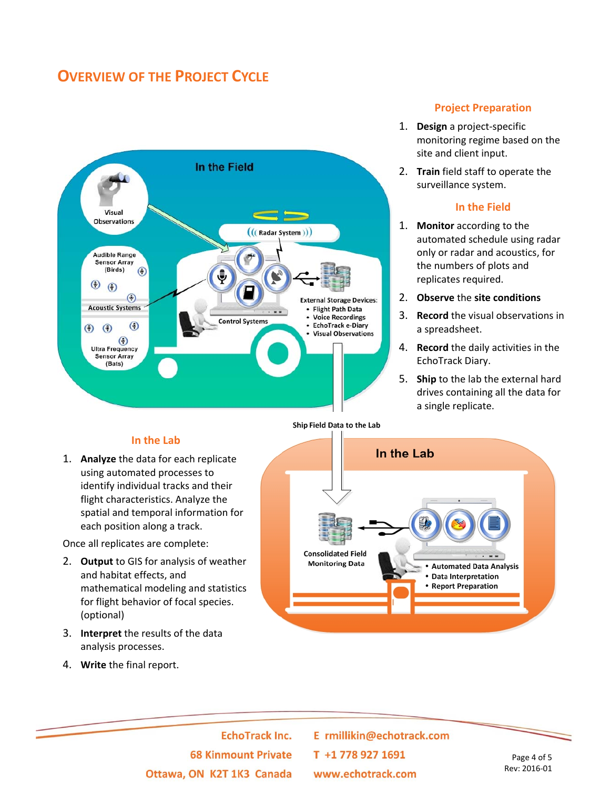### **OVERVIEW OF THE PROJECT CYCLE**



#### **In the Lab**

1. **Analyze** the data for each replicate using automated processes to identify individual tracks and their flight characteristics. Analyze the spatial and temporal information for each position along a track.

Once all replicates are complete:

- 2. **Output** to GIS for analysis of weather and habitat effects, and mathematical modeling and statistics for flight behavior of focal species. (optional)
- 3. **Interpret** the results of the data analysis processes.
- 4. **Write** the final report.



#### **Project Preparation**

- 1. **Design** a project‐specific monitoring regime based on the site and client input.
- 2. **Train** field staff to operate the surveillance system.

#### **In the Field**

- 1. **Monitor** according to the automated schedule using radar only or radar and acoustics, for the numbers of plots and replicates required.
- 2. **Observe** the **site conditions**
- 3. **Record** the visual observations in a spreadsheet.
- 4. **Record** the daily activities in the EchoTrack Diary.
- 5. **Ship** to the lab the external hard drives containing all the data for a single replicate.

**EchoTrack Inc. 68 Kinmount Private** Ottawa, ON K2T 1K3 Canada

E rmillikin@echotrack.com T +1778 927 1691 www.echotrack.com

Page 4 of 5 Rev: 2016‐01